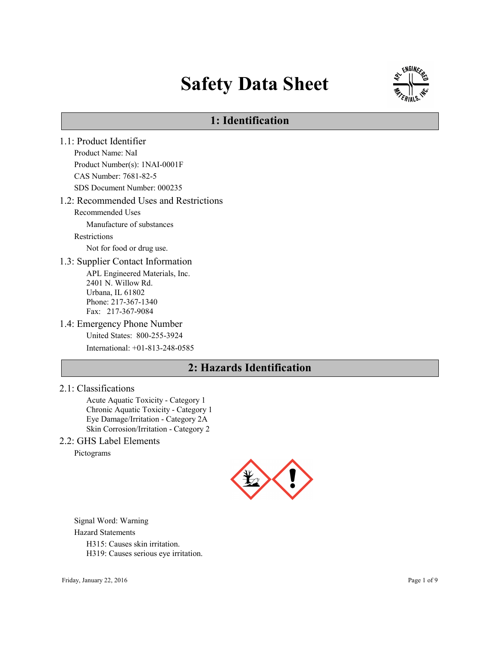# Safety Data Sheet



# 1: Identification

1.1: Product Identifier Product Name: NaI Product Number(s): 1NAI-0001F CAS Number: 7681-82-5 SDS Document Number: 000235 1.2: Recommended Uses and Restrictions Recommended Uses Manufacture of substances Restrictions Not for food or drug use. 1.3: Supplier Contact Information APL Engineered Materials, Inc. 2401 N. Willow Rd. Urbana, IL 61802 Phone: 217-367-1340 Fax: 217-367-9084 1.4: Emergency Phone Number United States: 800-255-3924 International: +01-813-248-0585

# 2: Hazards Identification

2.1: Classifications

Acute Aquatic Toxicity - Category 1 Chronic Aquatic Toxicity - Category 1 Eye Damage/Irritation - Category 2A Skin Corrosion/Irritation - Category 2

# 2.2: GHS Label Elements

Pictograms



Signal Word: Warning Hazard Statements H315: Causes skin irritation. H319: Causes serious eye irritation.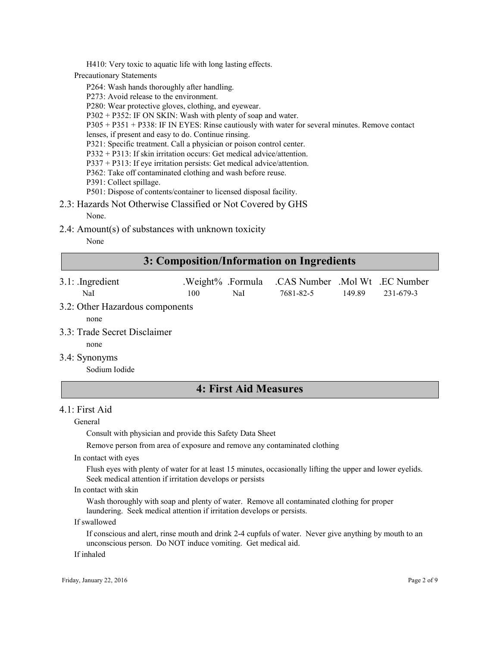H410: Very toxic to aquatic life with long lasting effects.

Precautionary Statements

P264: Wash hands thoroughly after handling.

P273: Avoid release to the environment.

P280: Wear protective gloves, clothing, and eyewear.

P302 + P352: IF ON SKIN: Wash with plenty of soap and water.

P305 + P351 + P338: IF IN EYES: Rinse cautiously with water for several minutes. Remove contact

lenses, if present and easy to do. Continue rinsing.

P321: Specific treatment. Call a physician or poison control center.

P332 + P313: If skin irritation occurs: Get medical advice/attention.

P337 + P313: If eye irritation persists: Get medical advice/attention.

P362: Take off contaminated clothing and wash before reuse.

P391: Collect spillage.

P501: Dispose of contents/container to licensed disposal facility.

- 2.3: Hazards Not Otherwise Classified or Not Covered by GHS None.
- 2.4: Amount(s) of substances with unknown toxicity

None

# 3: Composition/Information on Ingredients

3.1: .Ingredient .Weight% .Formula .CAS Number .Mol Wt .EC Number NaI 100 NaI 7681-82-5 149.89 231-679-3

# 3.2: Other Hazardous components

none

3.3: Trade Secret Disclaimer

none

3.4: Synonyms

Sodium Iodide

# 4: First Aid Measures

## $4.1$  First Aid

General

Consult with physician and provide this Safety Data Sheet

Remove person from area of exposure and remove any contaminated clothing

In contact with eyes

Flush eyes with plenty of water for at least 15 minutes, occasionally lifting the upper and lower eyelids. Seek medical attention if irritation develops or persists

In contact with skin

Wash thoroughly with soap and plenty of water. Remove all contaminated clothing for proper laundering. Seek medical attention if irritation develops or persists.

If swallowed

If conscious and alert, rinse mouth and drink 2-4 cupfuls of water. Never give anything by mouth to an unconscious person. Do NOT induce vomiting. Get medical aid.

If inhaled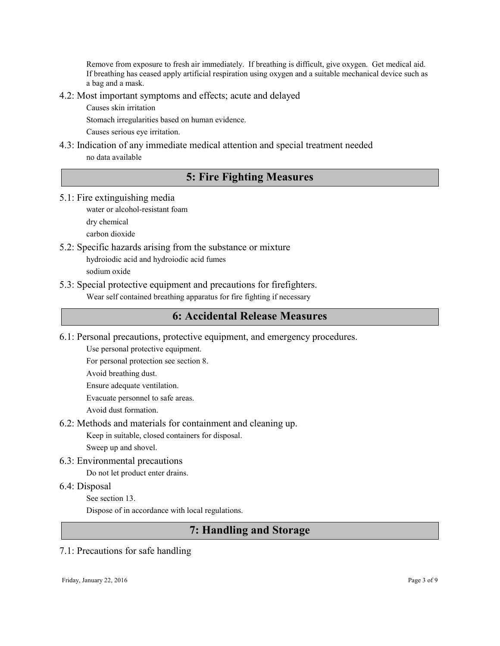Remove from exposure to fresh air immediately. If breathing is difficult, give oxygen. Get medical aid. If breathing has ceased apply artificial respiration using oxygen and a suitable mechanical device such as a bag and a mask.

- 4.2: Most important symptoms and effects; acute and delayed
	- Causes skin irritation
	- Stomach irregularities based on human evidence.

Causes serious eye irritation.

4.3: Indication of any immediate medical attention and special treatment needed no data available

# 5: Fire Fighting Measures

5.1: Fire extinguishing media

water or alcohol-resistant foam

dry chemical

carbon dioxide

- 5.2: Specific hazards arising from the substance or mixture hydroiodic acid and hydroiodic acid fumes sodium oxide
- 5.3: Special protective equipment and precautions for firefighters. Wear self contained breathing apparatus for fire fighting if necessary

# 6: Accidental Release Measures

6.1: Personal precautions, protective equipment, and emergency procedures.

Use personal protective equipment.

For personal protection see section 8.

- Avoid breathing dust.
- Ensure adequate ventilation.

Evacuate personnel to safe areas.

- Avoid dust formation.
- 6.2: Methods and materials for containment and cleaning up.

Keep in suitable, closed containers for disposal.

Sweep up and shovel.

6.3: Environmental precautions

Do not let product enter drains.

# 6.4: Disposal

See section 13.

Dispose of in accordance with local regulations.

# 7: Handling and Storage

# 7.1: Precautions for safe handling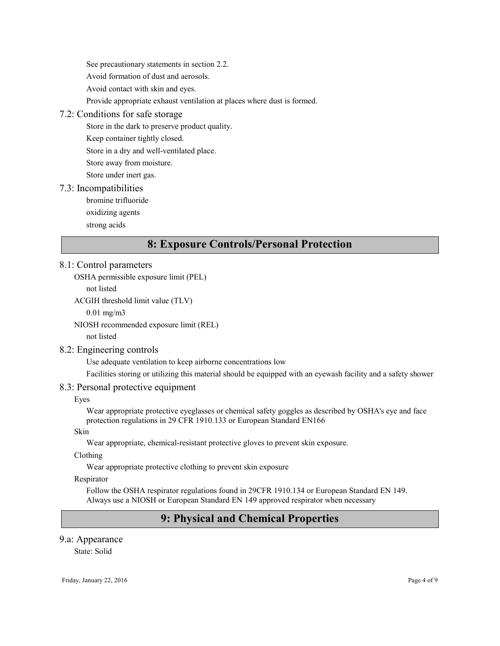See precautionary statements in section 2.2. Avoid formation of dust and aerosols. Avoid contact with skin and eyes. Provide appropriate exhaust ventilation at places where dust is formed.

# 7.2: Conditions for safe storage

Store in the dark to preserve product quality.

Keep container tightly closed.

Store in a dry and well-ventilated place.

Store away from moisture.

Store under inert gas.

## 7.3: Incompatibilities

bromine trifluoride

oxidizing agents

strong acids

# 8: Exposure Controls/Personal Protection

## 8.1: Control parameters

OSHA permissible exposure limit (PEL)

not listed

ACGIH threshold limit value (TLV)

0.01 mg/m3

NIOSH recommended exposure limit (REL)

not listed

# 8.2: Engineering controls

Use adequate ventilation to keep airborne concentrations low

Facilities storing or utilizing this material should be equipped with an eyewash facility and a safety shower

## 8.3: Personal protective equipment

Eyes

Wear appropriate protective eyeglasses or chemical safety goggles as described by OSHA's eye and face protection regulations in 29 CFR 1910.133 or European Standard EN166

Skin

Wear appropriate, chemical-resistant protective gloves to prevent skin exposure.

Clothing

Wear appropriate protective clothing to prevent skin exposure

Respirator

Follow the OSHA respirator regulations found in 29CFR 1910.134 or European Standard EN 149. Always use a NIOSH or European Standard EN 149 approved respirator when necessary

# 9: Physical and Chemical Properties

# 9.a: Appearance

State: Solid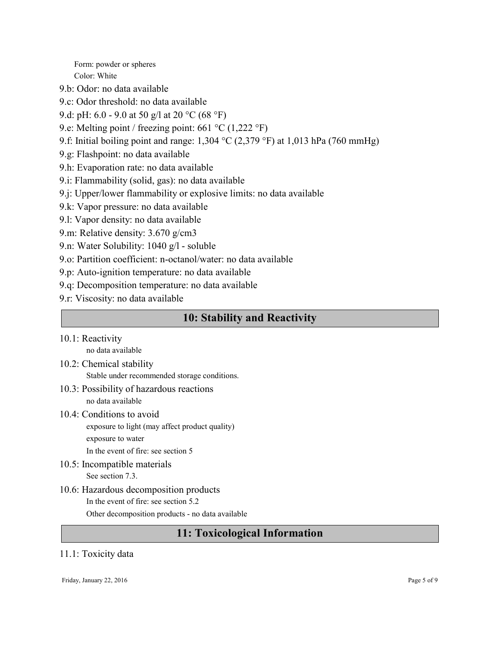Form: powder or spheres Color: White

- 9.b: Odor: no data available
- 9.c: Odor threshold: no data available
- 9.d: pH: 6.0 9.0 at 50 g/l at 20 °C (68 °F)
- 9.e: Melting point / freezing point: 661 °C (1,222 °F)
- 9.f: Initial boiling point and range:  $1,304$  °C (2,379 °F) at 1,013 hPa (760 mmHg)
- 9.g: Flashpoint: no data available
- 9.h: Evaporation rate: no data available
- 9.i: Flammability (solid, gas): no data available
- 9.j: Upper/lower flammability or explosive limits: no data available
- 9.k: Vapor pressure: no data available
- 9.l: Vapor density: no data available
- 9.m: Relative density: 3.670 g/cm3
- 9.n: Water Solubility: 1040 g/l soluble
- 9.o: Partition coefficient: n-octanol/water: no data available
- 9.p: Auto-ignition temperature: no data available
- 9.q: Decomposition temperature: no data available
- 9.r: Viscosity: no data available

# 10: Stability and Reactivity

10.1: Reactivity

no data available

- 10.2: Chemical stability Stable under recommended storage conditions.
- 10.3: Possibility of hazardous reactions no data available
- 10.4: Conditions to avoid exposure to light (may affect product quality) exposure to water In the event of fire: see section 5
- 10.5: Incompatible materials See section 7.3.
- 10.6: Hazardous decomposition products In the event of fire: see section 5.2 Other decomposition products - no data available

# 11: Toxicological Information

# 11.1: Toxicity data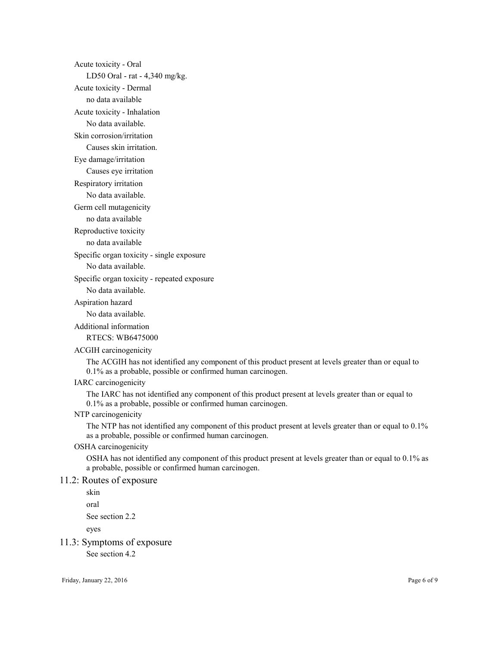Acute toxicity - Oral LD50 Oral - rat - 4,340 mg/kg. Acute toxicity - Dermal no data available Acute toxicity - Inhalation No data available. Skin corrosion/irritation Causes skin irritation. Eye damage/irritation Causes eye irritation Respiratory irritation No data available. Germ cell mutagenicity no data available Reproductive toxicity no data available Specific organ toxicity - single exposure No data available. Specific organ toxicity - repeated exposure No data available. Aspiration hazard No data available. Additional information RTECS: WB6475000 ACGIH carcinogenicity The ACGIH has not identified any component of this product present at levels greater than or equal to 0.1% as a probable, possible or confirmed human carcinogen. IARC carcinogenicity

The IARC has not identified any component of this product present at levels greater than or equal to 0.1% as a probable, possible or confirmed human carcinogen.

#### NTP carcinogenicity

The NTP has not identified any component of this product present at levels greater than or equal to 0.1% as a probable, possible or confirmed human carcinogen.

#### OSHA carcinogenicity

OSHA has not identified any component of this product present at levels greater than or equal to 0.1% as a probable, possible or confirmed human carcinogen.

## 11.2: Routes of exposure

skin

oral

See section 2.2

eyes

# 11.3: Symptoms of exposure

See section 4.2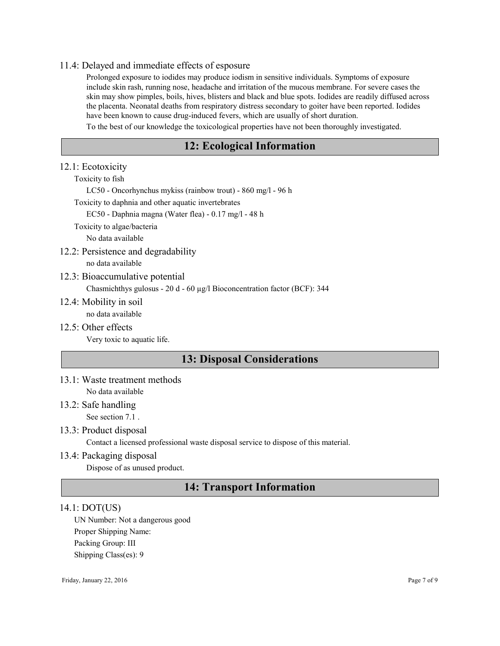#### 11.4: Delayed and immediate effects of esposure

Prolonged exposure to iodides may produce iodism in sensitive individuals. Symptoms of exposure include skin rash, running nose, headache and irritation of the mucous membrane. For severe cases the skin may show pimples, boils, hives, blisters and black and blue spots. Iodides are readily diffused across the placenta. Neonatal deaths from respiratory distress secondary to goiter have been reported. Iodides have been known to cause drug-induced fevers, which are usually of short duration.

To the best of our knowledge the toxicological properties have not been thoroughly investigated.

# 12: Ecological Information

#### 12.1: Ecotoxicity

Toxicity to fish

LC50 - Oncorhynchus mykiss (rainbow trout) - 860 mg/l - 96 h

Toxicity to daphnia and other aquatic invertebrates

EC50 - Daphnia magna (Water flea) - 0.17 mg/l - 48 h

Toxicity to algae/bacteria

No data available

12.2: Persistence and degradability

no data available

#### 12.3: Bioaccumulative potential

Chasmichthys gulosus - 20 d - 60 µg/l Bioconcentration factor (BCF): 344

12.4: Mobility in soil

no data available

12.5: Other effects

Very toxic to aquatic life.

# 13: Disposal Considerations

13.1: Waste treatment methods

No data available

13.2: Safe handling

See section 7.1 .

## 13.3: Product disposal

Contact a licensed professional waste disposal service to dispose of this material.

## 13.4: Packaging disposal

Dispose of as unused product.

# 14: Transport Information

#### 14.1: DOT(US)

UN Number: Not a dangerous good Proper Shipping Name: Packing Group: III Shipping Class(es): 9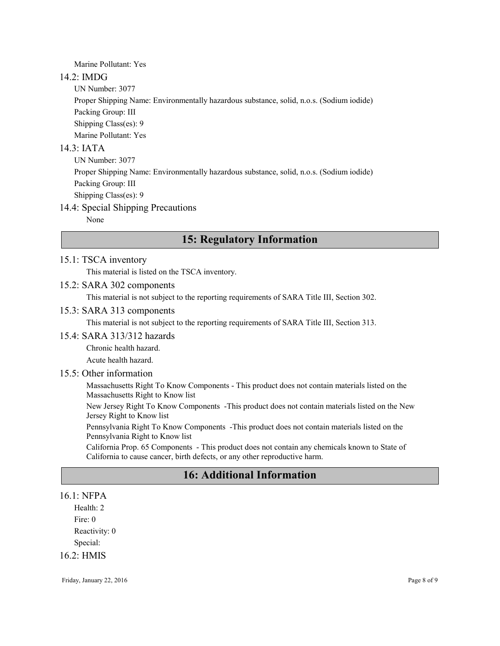Marine Pollutant: Yes

## 14.2: IMDG

UN Number: 3077

Proper Shipping Name: Environmentally hazardous substance, solid, n.o.s. (Sodium iodide)

Packing Group: III Shipping Class(es): 9

Marine Pollutant: Yes

# 14.3: IATA

UN Number: 3077 Proper Shipping Name: Environmentally hazardous substance, solid, n.o.s. (Sodium iodide) Packing Group: III Shipping Class(es): 9

# 14.4: Special Shipping Precautions

None

# 15: Regulatory Information

## 15.1: TSCA inventory

This material is listed on the TSCA inventory.

## 15.2: SARA 302 components

This material is not subject to the reporting requirements of SARA Title III, Section 302.

## 15.3: SARA 313 components

This material is not subject to the reporting requirements of SARA Title III, Section 313.

## 15.4: SARA 313/312 hazards

Chronic health hazard.

Acute health hazard.

# 15.5: Other information

Massachusetts Right To Know Components - This product does not contain materials listed on the Massachusetts Right to Know list

New Jersey Right To Know Components -This product does not contain materials listed on the New Jersey Right to Know list

Pennsylvania Right To Know Components -This product does not contain materials listed on the Pennsylvania Right to Know list

California Prop. 65 Components - This product does not contain any chemicals known to State of California to cause cancer, birth defects, or any other reproductive harm.

# 16: Additional Information

## 16.1: NFPA

Health: 2 Fire: 0 Reactivity: 0 Special: 16.2: HMIS